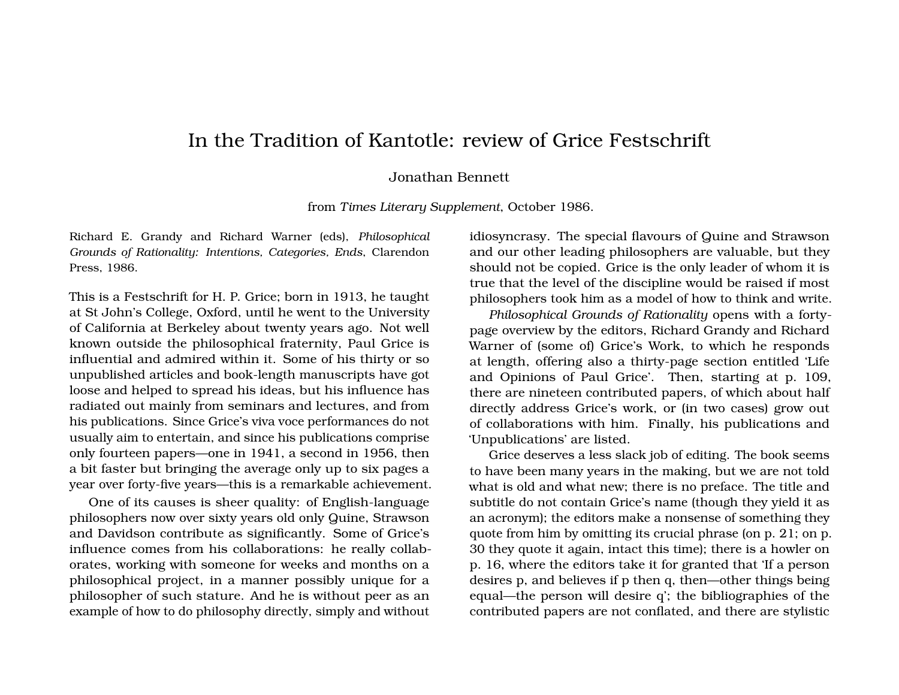## In the Tradition of Kantotle: review of Grice Festschrift

## Jonathan Bennett

from *Times Literary Supplement*, October 1986.

Richard E. Grandy and Richard Warner (eds), *Philosophical Grounds of Rationality: Intentions, Categories, Ends*, Clarendon Press, 1986.

This is a Festschrift for H. P. Grice; born in 1913, he taught at St John's College, Oxford, until he went to the University of California at Berkeley about twenty years ago. Not well known outside the philosophical fraternity, Paul Grice is influential and admired within it. Some of his thirty or so unpublished articles and book-length manuscripts have got loose and helped to spread his ideas, but his influence has radiated out mainly from seminars and lectures, and from his publications. Since Grice's viva voce performances do not usually aim to entertain, and since his publications comprise only fourteen papers—one in 1941, a second in 1956, then a bit faster but bringing the average only up to six pages a year over forty-five years—this is a remarkable achievement.

One of its causes is sheer quality: of English-language philosophers now over sixty years old only Quine, Strawson and Davidson contribute as significantly. Some of Grice's influence comes from his collaborations: he really collaborates, working with someone for weeks and months on a philosophical project, in a manner possibly unique for a philosopher of such stature. And he is without peer as an example of how to do philosophy directly, simply and without idiosyncrasy. The special flavours of Quine and Strawson and our other leading philosophers are valuable, but they should not be copied. Grice is the only leader of whom it is true that the level of the discipline would be raised if most philosophers took him as a model of how to think and write.

*Philosophical Grounds of Rationality* opens with a fortypage overview by the editors, Richard Grandy and Richard Warner of (some of) Grice's Work, to which he responds at length, offering also a thirty-page section entitled 'Life and Opinions of Paul Grice'. Then, starting at p. 109, there are nineteen contributed papers, of which about half directly address Grice's work, or (in two cases) grow out of collaborations with him. Finally, his publications and 'Unpublications' are listed.

Grice deserves a less slack job of editing. The book seems to have been many years in the making, but we are not told what is old and what new; there is no preface. The title and subtitle do not contain Grice's name (though they yield it as an acronym); the editors make a nonsense of something they quote from him by omitting its crucial phrase (on p. 21; on p. 30 they quote it again, intact this time); there is a howler on p. 16, where the editors take it for granted that 'If a person desires p, and believes if p then q, then—other things being equal—the person will desire q'; the bibliographies of the contributed papers are not conflated, and there are stylistic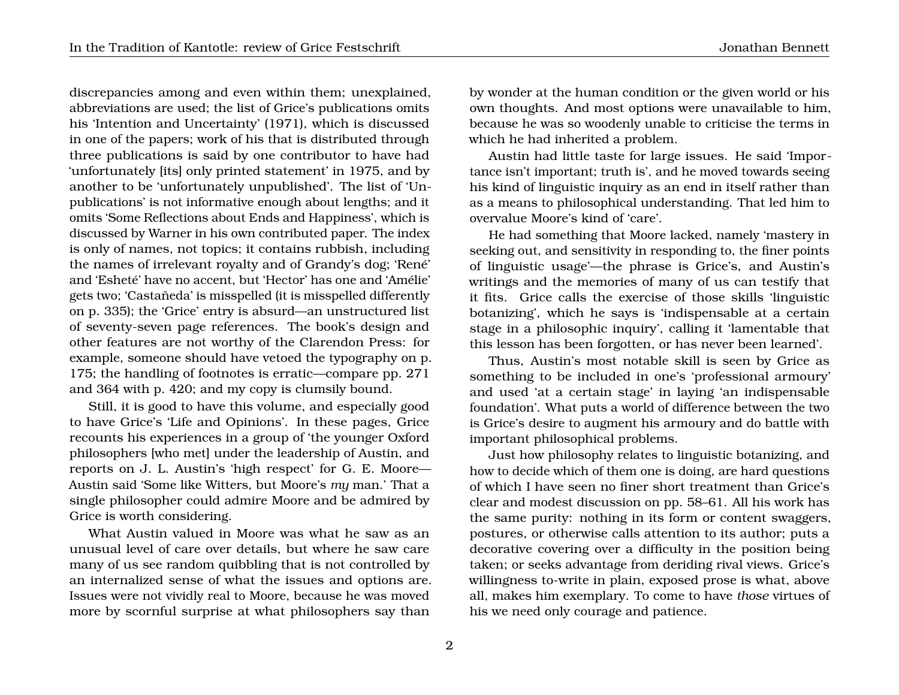discrepancies among and even within them; unexplained, abbreviations are used; the list of Grice's publications omits his 'Intention and Uncertainty' (1971), which is discussed in one of the papers; work of his that is distributed through three publications is said by one contributor to have had 'unfortunately [its] only printed statement' in 1975, and by another to be 'unfortunately unpublished'. The list of 'Unpublications' is not informative enough about lengths; and it omits 'Some Reflections about Ends and Happiness', which is discussed by Warner in his own contributed paper. The index is only of names, not topics; it contains rubbish, including the names of irrelevant royalty and of Grandy's dog; 'René' and 'Esheté' have no accent, but 'Hector' has one and 'Amélie' gets two; 'Castañeda' is misspelled (it is misspelled differently on p. 335); the 'Grice' entry is absurd—an unstructured list of seventy-seven page references. The book's design and other features are not worthy of the Clarendon Press: for example, someone should have vetoed the typography on p. 175; the handling of footnotes is erratic—compare pp. 271 and 364 with p. 420; and my copy is clumsily bound.

Still, it is good to have this volume, and especially good to have Grice's 'Life and Opinions'. In these pages, Grice recounts his experiences in a group of 'the younger Oxford philosophers [who met] under the leadership of Austin, and reports on J. L. Austin's 'high respect' for G. E. Moore— Austin said 'Some like Witters, but Moore's *my* man.' That a single philosopher could admire Moore and be admired by Grice is worth considering.

What Austin valued in Moore was what he saw as an unusual level of care over details, but where he saw care many of us see random quibbling that is not controlled by an internalized sense of what the issues and options are. Issues were not vividly real to Moore, because he was moved more by scornful surprise at what philosophers say than

by wonder at the human condition or the given world or his own thoughts. And most options were unavailable to him, because he was so woodenly unable to criticise the terms in which he had inherited a problem.

Austin had little taste for large issues. He said 'Importance isn't important; truth is', and he moved towards seeing his kind of linguistic inquiry as an end in itself rather than as a means to philosophical understanding. That led him to overvalue Moore's kind of 'care'.

He had something that Moore lacked, namely 'mastery in seeking out, and sensitivity in responding to, the finer points of linguistic usage'—the phrase is Grice's, and Austin's writings and the memories of many of us can testify that it fits. Grice calls the exercise of those skills 'linguistic botanizing', which he says is 'indispensable at a certain stage in a philosophic inquiry', calling it 'lamentable that this lesson has been forgotten, or has never been learned'.

Thus, Austin's most notable skill is seen by Grice as something to be included in one's 'professional armoury' and used 'at a certain stage' in laying 'an indispensable foundation'. What puts a world of difference between the two is Grice's desire to augment his armoury and do battle with important philosophical problems.

Just how philosophy relates to linguistic botanizing, and how to decide which of them one is doing, are hard questions of which I have seen no finer short treatment than Grice's clear and modest discussion on pp. 58–61. All his work has the same purity: nothing in its form or content swaggers, postures, or otherwise calls attention to its author; puts a decorative covering over a difficulty in the position being taken; or seeks advantage from deriding rival views. Grice's willingness to-write in plain, exposed prose is what, above all, makes him exemplary. To come to have *those* virtues of his we need only courage and patience.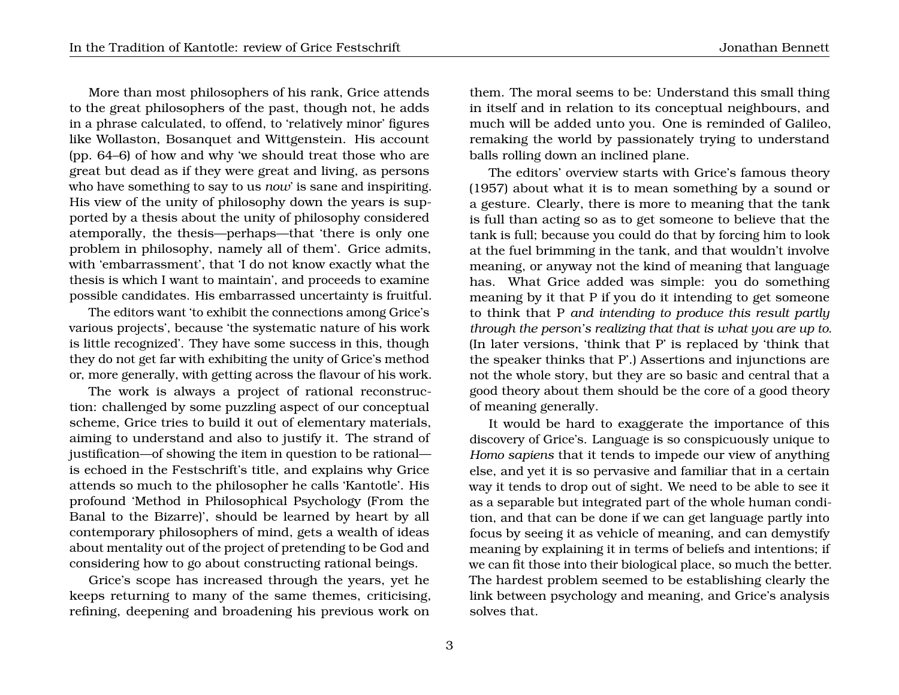More than most philosophers of his rank, Grice attends to the great philosophers of the past, though not, he adds in a phrase calculated, to offend, to 'relatively minor' figures like Wollaston, Bosanquet and Wittgenstein. His account (pp. 64–6) of how and why 'we should treat those who are great but dead as if they were great and living, as persons who have something to say to us *now*' is sane and inspiriting. His view of the unity of philosophy down the years is supported by a thesis about the unity of philosophy considered atemporally, the thesis—perhaps—that 'there is only one problem in philosophy, namely all of them'. Grice admits, with 'embarrassment', that 'I do not know exactly what the thesis is which I want to maintain', and proceeds to examine possible candidates. His embarrassed uncertainty is fruitful.

The editors want 'to exhibit the connections among Grice's various projects', because 'the systematic nature of his work is little recognized'. They have some success in this, though they do not get far with exhibiting the unity of Grice's method or, more generally, with getting across the flavour of his work.

The work is always a project of rational reconstruction: challenged by some puzzling aspect of our conceptual scheme, Grice tries to build it out of elementary materials, aiming to understand and also to justify it. The strand of justification—of showing the item in question to be rational is echoed in the Festschrift's title, and explains why Grice attends so much to the philosopher he calls 'Kantotle'. His profound 'Method in Philosophical Psychology (From the Banal to the Bizarre)', should be learned by heart by all contemporary philosophers of mind, gets a wealth of ideas about mentality out of the project of pretending to be God and considering how to go about constructing rational beings.

Grice's scope has increased through the years, yet he keeps returning to many of the same themes, criticising, refining, deepening and broadening his previous work on

them. The moral seems to be: Understand this small thing in itself and in relation to its conceptual neighbours, and much will be added unto you. One is reminded of Galileo, remaking the world by passionately trying to understand balls rolling down an inclined plane.

The editors' overview starts with Grice's famous theory (1957) about what it is to mean something by a sound or a gesture. Clearly, there is more to meaning that the tank is full than acting so as to get someone to believe that the tank is full; because you could do that by forcing him to look at the fuel brimming in the tank, and that wouldn't involve meaning, or anyway not the kind of meaning that language has. What Grice added was simple: you do something meaning by it that P if you do it intending to get someone to think that P *and intending to produce this result partly through the person's realizing that that is what you are up to*. (In later versions, 'think that P' is replaced by 'think that the speaker thinks that P'.) Assertions and injunctions are not the whole story, but they are so basic and central that a good theory about them should be the core of a good theory of meaning generally.

It would be hard to exaggerate the importance of this discovery of Grice's. Language is so conspicuously unique to *Homo sapiens* that it tends to impede our view of anything else, and yet it is so pervasive and familiar that in a certain way it tends to drop out of sight. We need to be able to see it as a separable but integrated part of the whole human condition, and that can be done if we can get language partly into focus by seeing it as vehicle of meaning, and can demystify meaning by explaining it in terms of beliefs and intentions; if we can fit those into their biological place, so much the better. The hardest problem seemed to be establishing clearly the link between psychology and meaning, and Grice's analysis solves that.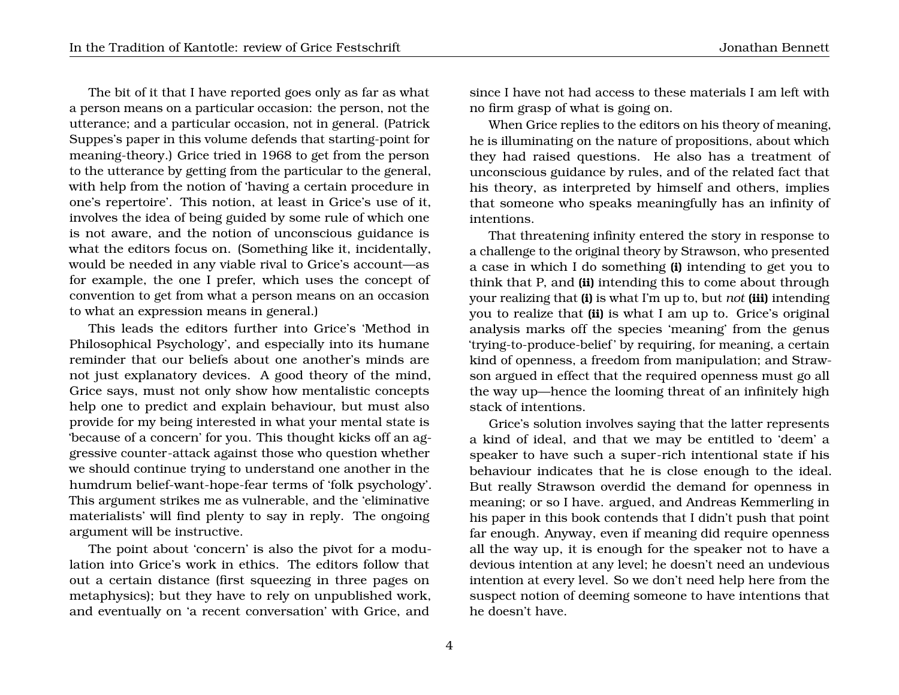The bit of it that I have reported goes only as far as what a person means on a particular occasion: the person, not the utterance; and a particular occasion, not in general. (Patrick Suppes's paper in this volume defends that starting-point for meaning-theory.) Grice tried in 1968 to get from the person to the utterance by getting from the particular to the general, with help from the notion of 'having a certain procedure in one's repertoire'. This notion, at least in Grice's use of it, involves the idea of being guided by some rule of which one is not aware, and the notion of unconscious guidance is what the editors focus on. (Something like it, incidentally, would be needed in any viable rival to Grice's account—as for example, the one I prefer, which uses the concept of convention to get from what a person means on an occasion to what an expression means in general.)

This leads the editors further into Grice's 'Method in Philosophical Psychology', and especially into its humane reminder that our beliefs about one another's minds are not just explanatory devices. A good theory of the mind, Grice says, must not only show how mentalistic concepts help one to predict and explain behaviour, but must also provide for my being interested in what your mental state is 'because of a concern' for you. This thought kicks off an aggressive counter-attack against those who question whether we should continue trying to understand one another in the humdrum belief-want-hope-fear terms of 'folk psychology'. This argument strikes me as vulnerable, and the 'eliminative materialists' will find plenty to say in reply. The ongoing argument will be instructive.

The point about 'concern' is also the pivot for a modulation into Grice's work in ethics. The editors follow that out a certain distance (first squeezing in three pages on metaphysics); but they have to rely on unpublished work, and eventually on 'a recent conversation' with Grice, and

since I have not had access to these materials I am left with no firm grasp of what is going on.

When Grice replies to the editors on his theory of meaning, he is illuminating on the nature of propositions, about which they had raised questions. He also has a treatment of unconscious guidance by rules, and of the related fact that his theory, as interpreted by himself and others, implies that someone who speaks meaningfully has an infinity of intentions.

That threatening infinity entered the story in response to a challenge to the original theory by Strawson, who presented a case in which I do something **(i)** intending to get you to think that P, and **(ii)** intending this to come about through your realizing that **(i)** is what I'm up to, but *not* **(iii)** intending you to realize that **(ii)** is what I am up to. Grice's original analysis marks off the species 'meaning' from the genus 'trying-to-produce-belief ' by requiring, for meaning, a certain kind of openness, a freedom from manipulation; and Strawson argued in effect that the required openness must go all the way up—hence the looming threat of an infinitely high stack of intentions.

Grice's solution involves saying that the latter represents a kind of ideal, and that we may be entitled to 'deem' a speaker to have such a super-rich intentional state if his behaviour indicates that he is close enough to the ideal. But really Strawson overdid the demand for openness in meaning; or so I have. argued, and Andreas Kemmerling in his paper in this book contends that I didn't push that point far enough. Anyway, even if meaning did require openness all the way up, it is enough for the speaker not to have a devious intention at any level; he doesn't need an undevious intention at every level. So we don't need help here from the suspect notion of deeming someone to have intentions that he doesn't have.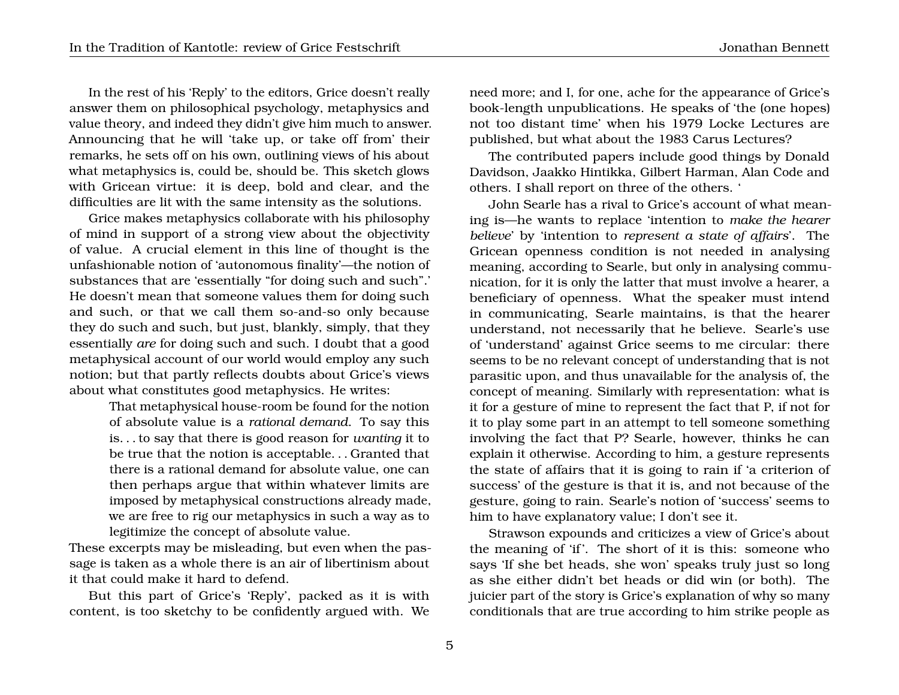In the rest of his 'Reply' to the editors, Grice doesn't really answer them on philosophical psychology, metaphysics and value theory, and indeed they didn't give him much to answer. Announcing that he will 'take up, or take off from' their remarks, he sets off on his own, outlining views of his about what metaphysics is, could be, should be. This sketch glows with Gricean virtue: it is deep, bold and clear, and the difficulties are lit with the same intensity as the solutions.

Grice makes metaphysics collaborate with his philosophy of mind in support of a strong view about the objectivity of value. A crucial element in this line of thought is the unfashionable notion of 'autonomous finality'—the notion of substances that are 'essentially "for doing such and such".' He doesn't mean that someone values them for doing such and such, or that we call them so-and-so only because they do such and such, but just, blankly, simply, that they essentially *are* for doing such and such. I doubt that a good metaphysical account of our world would employ any such notion; but that partly reflects doubts about Grice's views about what constitutes good metaphysics. He writes:

> That metaphysical house-room be found for the notion of absolute value is a *rational demand*. To say this is. . . to say that there is good reason for *wanting* it to be true that the notion is acceptable. . . Granted that there is a rational demand for absolute value, one can then perhaps argue that within whatever limits are imposed by metaphysical constructions already made, we are free to rig our metaphysics in such a way as to legitimize the concept of absolute value.

These excerpts may be misleading, but even when the passage is taken as a whole there is an air of libertinism about it that could make it hard to defend.

But this part of Grice's 'Reply', packed as it is with content, is too sketchy to be confidently argued with. We

need more; and I, for one, ache for the appearance of Grice's book-length unpublications. He speaks of 'the (one hopes) not too distant time' when his 1979 Locke Lectures are published, but what about the 1983 Carus Lectures?

The contributed papers include good things by Donald Davidson, Jaakko Hintikka, Gilbert Harman, Alan Code and others. I shall report on three of the others. '

John Searle has a rival to Grice's account of what meaning is—he wants to replace 'intention to *make the hearer believe*' by 'intention to *represent a state of affairs*'. The Gricean openness condition is not needed in analysing meaning, according to Searle, but only in analysing communication, for it is only the latter that must involve a hearer, a beneficiary of openness. What the speaker must intend in communicating, Searle maintains, is that the hearer understand, not necessarily that he believe. Searle's use of 'understand' against Grice seems to me circular: there seems to be no relevant concept of understanding that is not parasitic upon, and thus unavailable for the analysis of, the concept of meaning. Similarly with representation: what is it for a gesture of mine to represent the fact that P, if not for it to play some part in an attempt to tell someone something involving the fact that P? Searle, however, thinks he can explain it otherwise. According to him, a gesture represents the state of affairs that it is going to rain if 'a criterion of success' of the gesture is that it is, and not because of the gesture, going to rain. Searle's notion of 'success' seems to him to have explanatory value; I don't see it.

Strawson expounds and criticizes a view of Grice's about the meaning of 'if'. The short of it is this: someone who says 'If she bet heads, she won' speaks truly just so long as she either didn't bet heads or did win (or both). The juicier part of the story is Grice's explanation of why so many conditionals that are true according to him strike people as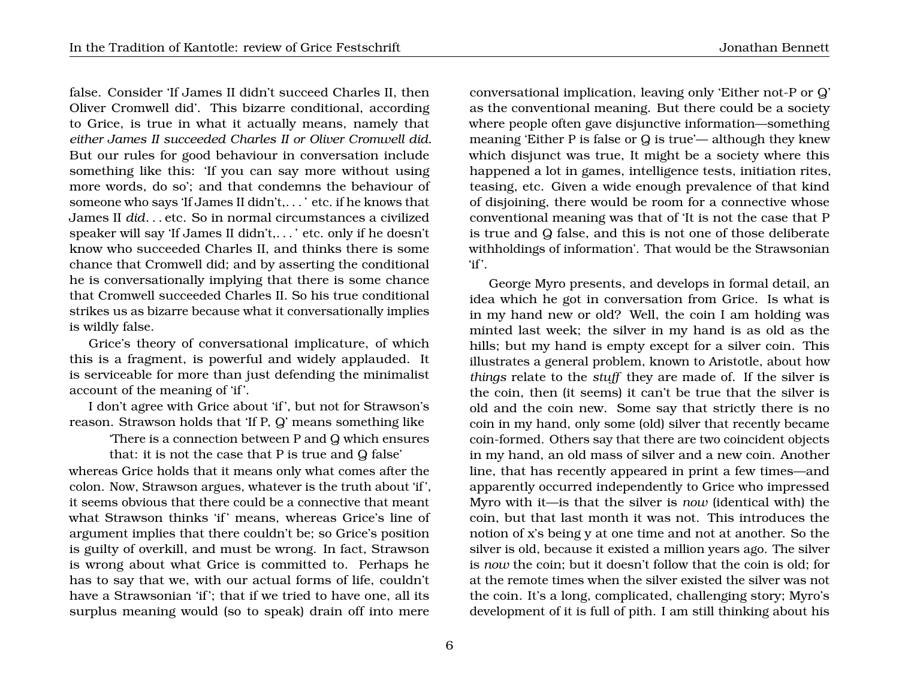false. Consider 'If James II didn't succeed Charles II, then Oliver Cromwell did'. This bizarre conditional, according to Grice, is true in what it actually means, namely that *either James II succeeded Charles II or Oliver Cromwell did*. But our rules for good behaviour in conversation include something like this: 'If you can say more without using more words, do so'; and that condemns the behaviour of someone who says 'If James II didn't,. . . ' etc. if he knows that James II *did*. . . etc. So in normal circumstances a civilized speaker will say 'If James II didn't,. . . ' etc. only if he doesn't know who succeeded Charles II, and thinks there is some chance that Cromwell did; and by asserting the conditional he is conversationally implying that there is some chance that Cromwell succeeded Charles II. So his true conditional strikes us as bizarre because what it conversationally implies is wildly false.

Grice's theory of conversational implicature, of which this is a fragment, is powerful and widely applauded. It is serviceable for more than just defending the minimalist account of the meaning of 'if '.

I don't agree with Grice about 'if ', but not for Strawson's reason. Strawson holds that 'If P, Q' means something like

'There is a connection between P and Q which ensures

that: it is not the case that P is true and Q false' whereas Grice holds that it means only what comes after the colon. Now, Strawson argues, whatever is the truth about 'if ', it seems obvious that there could be a connective that meant what Strawson thinks 'if' means, whereas Grice's line of argument implies that there couldn't be; so Grice's position is guilty of overkill, and must be wrong. In fact, Strawson is wrong about what Grice is committed to. Perhaps he has to say that we, with our actual forms of life, couldn't have a Strawsonian 'if'; that if we tried to have one, all its surplus meaning would (so to speak) drain off into mere

conversational implication, leaving only 'Either not-P or Q' as the conventional meaning. But there could be a society where people often gave disjunctive information—something meaning 'Either P is false or Q is true'— although they knew which disjunct was true, It might be a society where this happened a lot in games, intelligence tests, initiation rites, teasing, etc. Given a wide enough prevalence of that kind of disjoining, there would be room for a connective whose conventional meaning was that of 'It is not the case that P is true and Q false, and this is not one of those deliberate withholdings of information'. That would be the Strawsonian 'if'.

George Myro presents, and develops in formal detail, an idea which he got in conversation from Grice. Is what is in my hand new or old? Well, the coin I am holding was minted last week; the silver in my hand is as old as the hills; but my hand is empty except for a silver coin. This illustrates a general problem, known to Aristotle, about how *things* relate to the *stuff* they are made of. If the silver is the coin, then (it seems) it can't be true that the silver is old and the coin new. Some say that strictly there is no coin in my hand, only some (old) silver that recently became coin-formed. Others say that there are two coincident objects in my hand, an old mass of silver and a new coin. Another line, that has recently appeared in print a few times—and apparently occurred independently to Grice who impressed Myro with it—is that the silver is *now* (identical with) the coin, but that last month it was not. This introduces the notion of x's being y at one time and not at another. So the silver is old, because it existed a million years ago. The silver is *now* the coin; but it doesn't follow that the coin is old; for at the remote times when the silver existed the silver was not the coin. It's a long, complicated, challenging story; Myro's development of it is full of pith. I am still thinking about his